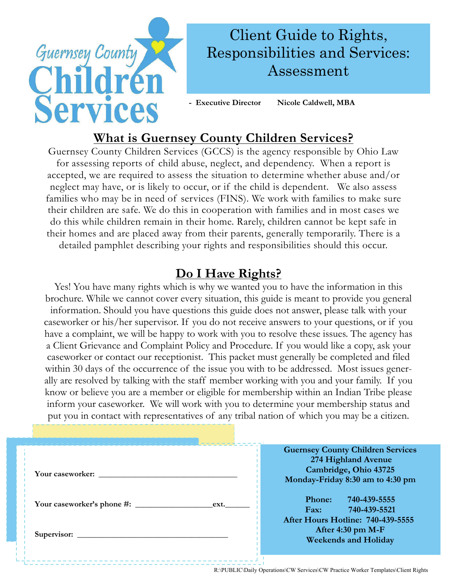

# **What is Guernsey County Children Services?**

Guernsey County Children Services (GCCS) is the agency responsible by Ohio Law for assessing reports of child abuse, neglect, and dependency. When a report is accepted, we are required to assess the situation to determine whether abuse and/or neglect may have, or is likely to occur, or if the child is dependent. We also assess families who may be in need of services (FINS). We work with families to make sure their children are safe. We do this in cooperation with families and in most cases we do this while children remain in their home. Rarely, children cannot be kept safe in their homes and are placed away from their parents, generally temporarily. There is a detailed pamphlet describing your rights and responsibilities should this occur.

## **Do I Have Rights?**

Yes! You have many rights which is why we wanted you to have the information in this brochure. While we cannot cover every situation, this guide is meant to provide you general information. Should you have questions this guide does not answer, please talk with your caseworker or his/her supervisor. If you do not receive answers to your questions, or if you have a complaint, we will be happy to work with you to resolve these issues. The agency has a Client Grievance and Complaint Policy and Procedure. If you would like a copy, ask your caseworker or contact our receptionist. This packet must generally be completed and filed within 30 days of the occurrence of the issue you with to be addressed. Most issues generally are resolved by talking with the staff member working with you and your family. If you know or believe you are a member or eligible for membership within an Indian Tribe please inform your caseworker. We will work with you to determine your membership status and put you in contact with representatives of any tribal nation of which you may be a citizen.

| Your caseworker: | <b>Guernsey County Children Services</b><br>274 Highland Avenue<br>Cambridge, Ohio 43725<br>Monday-Friday 8:30 am to 4:30 pm |
|------------------|------------------------------------------------------------------------------------------------------------------------------|
| ext.             | Phone:<br>740-439-5555<br>740-439-5521<br>$\mathbf{Fax:}$<br>After Hours Hotline: 740-439-5555                               |
|                  | After 4:30 pm $M-F$<br><b>Weekends and Holiday</b>                                                                           |